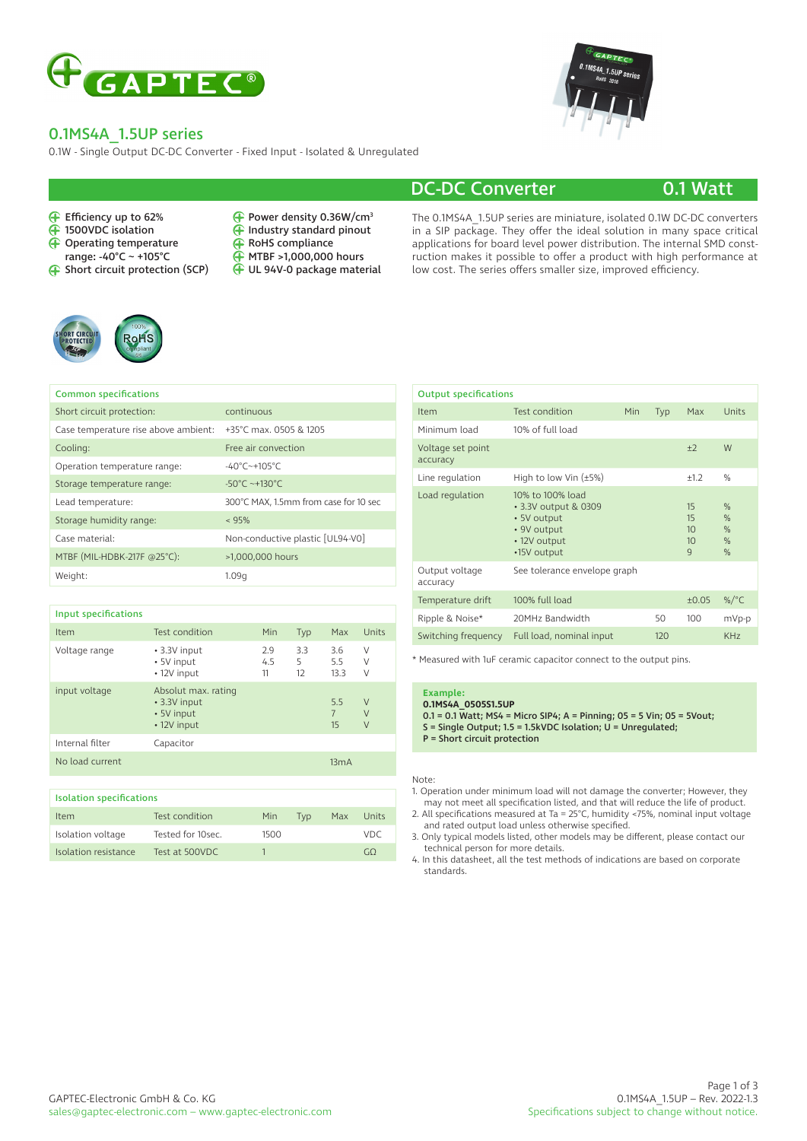

### 0.1MS4A\_1.5UP series

0.1W - Single Output DC-DC Converter - Fixed Input - Isolated & Unregulated

 $\check{\mathbf{\Theta}}$ 

#### Efficiency up to 62%

- 1500VDC isolation
- Operating temperature
- range: -40°C ~ +105°C
- Short circuit protection (SCP)



UL 94V-0 package material

Power density 0.36W/cm3 Industry standard pinout



## DC-DC Converter 0.1 Watt

The 0.1MS4A\_1.5UP series are miniature, isolated 0.1W DC-DC converters in a SIP package. They offer the ideal solution in many space critical applications for board level power distribution. The internal SMD construction makes it possible to offer a product with high performance at low cost. The series offers smaller size, improved efficiency.



| <b>Common specifications</b>         |                                       |
|--------------------------------------|---------------------------------------|
| Short circuit protection:            | continuous                            |
| Case temperature rise above ambient: | +35°C max. 0505 & 1205                |
| Cooling:                             | Free air convection                   |
| Operation temperature range:         | $-40^{\circ}$ C $-+105^{\circ}$ C     |
| Storage temperature range:           | $-50^{\circ}$ C ~+130 $^{\circ}$ C    |
| Lead temperature:                    | 300°C MAX, 1.5mm from case for 10 sec |
| Storage humidity range:              | $~<$ 95%                              |
| Case material:                       | Non-conductive plastic [UL94-V0]      |
| MTBF (MIL-HDBK-217F @25°C):          | >1,000,000 hours                      |
| Weight:                              | 1.09q                                 |

| <b>Input specifications</b>     |                                                                  |                  |                |                             |                       |
|---------------------------------|------------------------------------------------------------------|------------------|----------------|-----------------------------|-----------------------|
| Item                            | Test condition                                                   | Min              | Typ            | Max                         | Units                 |
| Voltage range                   | • 3.3V input<br>• 5V input<br>• 12V input                        | 2.9<br>4.5<br>11 | 3.3<br>5<br>12 | 3.6<br>5.5<br>13.3          | V<br>V<br>V           |
| input voltage                   | Absolut max. rating<br>• 3.3V input<br>• 5V input<br>• 12V input |                  |                | 5.5<br>$\overline{7}$<br>15 | V<br>$\vee$<br>$\vee$ |
| Internal filter                 | Capacitor                                                        |                  |                |                             |                       |
| No load current                 |                                                                  | 13mA             |                |                             |                       |
|                                 |                                                                  |                  |                |                             |                       |
| <b>Isolation specifications</b> |                                                                  |                  |                |                             |                       |
| Item                            | Test condition                                                   | Min              | <b>Typ</b>     | Max                         | Units                 |
| Isolation voltage               | Tested for 10sec.                                                | 1500             |                |                             | <b>VDC</b>            |

Isolation resistance Test at 500VDC 1 GΩ

|     | Max                                  | Units                                                           |
|-----|--------------------------------------|-----------------------------------------------------------------|
|     |                                      |                                                                 |
|     | $+2$                                 | W                                                               |
|     | $+1.2$                               | $\%$                                                            |
|     | 15<br>15<br>10<br>10<br>$\mathsf{q}$ | $\frac{0}{0}$<br>$\frac{0}{0}$<br>$\frac{0}{0}$<br>$\%$<br>$\%$ |
|     |                                      |                                                                 |
|     | ±0.05                                | %/ $^{\circ}$ C                                                 |
| 50  | 100                                  | mVp-p                                                           |
| 120 |                                      | KH <sub>7</sub>                                                 |
|     | <b>Typ</b>                           |                                                                 |

\* Measured with 1uF ceramic capacitor connect to the output pins.

#### **Example: 0.1MS4A\_0505S1.5UP**

0.1 = 0.1 Watt; MS4 = Micro SIP4; A = Pinning; 05 = 5 Vin; 05 = 5 Vout; S = Single Output; 1.5 = 1.5kVDC Isolation; U = Unregulated; P = Short circuit protection

#### Note:

1. Operation under minimum load will not damage the converter; However, they may not meet all specification listed, and that will reduce the life of product.

2. All specifications measured at Ta = 25°C, humidity <75%, nominal input voltage and rated output load unless otherwise specified.

3. Only typical models listed, other models may be different, please contact our technical person for more details.

4. In this datasheet, all the test methods of indications are based on corporate standards.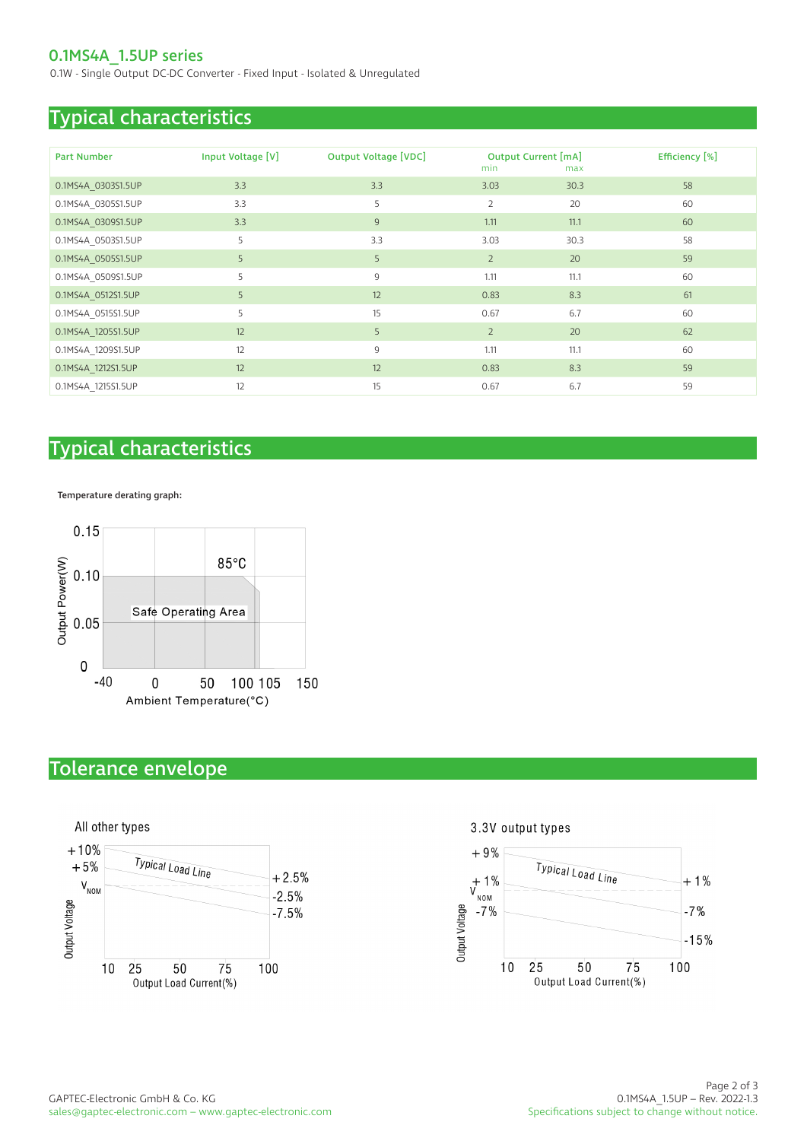### 0.1MS4A\_1.5UP series

0.1W - Single Output DC-DC Converter - Fixed Input - Isolated & Unregulated

## Typical characteristics

| <b>Part Number</b> | Input Voltage [V] | <b>Output Voltage [VDC]</b> |                | <b>Output Current [mA]</b> | Efficiency [%] |
|--------------------|-------------------|-----------------------------|----------------|----------------------------|----------------|
|                    |                   |                             | min            | max                        |                |
| 0.1MS4A_0303S1.5UP | 3.3               | 3.3                         | 3.03           | 30.3                       | 58             |
| 0.1MS4A 0305S1.5UP | 3.3               | 5                           | $\overline{2}$ | 20                         | 60             |
| 0.1MS4A 0309S1.5UP | 3.3               | 9                           | 1.11           | 11.1                       | 60             |
| 0.1MS4A 0503S1.5UP | 5                 | 3.3                         | 3.03           | 30.3                       | 58             |
| 0.1MS4A_0505S1.5UP | 5                 | 5                           | $\overline{2}$ | 20                         | 59             |
| 0.1MS4A 0509S1.5UP | 5                 | 9                           | 1.11           | 11.1                       | 60             |
| 0.1MS4A_0512S1.5UP | 5                 | 12                          | 0.83           | 8.3                        | 61             |
| 0.1MS4A_0515S1.5UP | 5                 | 15                          | 0.67           | 6.7                        | 60             |
| 0.1MS4A_1205S1.5UP | 12                | 5                           | $\overline{2}$ | 20                         | 62             |
| 0.1MS4A 1209S1.5UP | 12                | 9                           | 1.11           | 11.1                       | 60             |
| 0.1MS4A_1212S1.5UP | 12                | 12                          | 0.83           | 8.3                        | 59             |
| 0.1MS4A 1215S1.5UP | 12                | 15                          | 0.67           | 6.7                        | 59             |

# Typical characteristics

Temperature derating graph:



# Tolerance envelope



3.3V output types